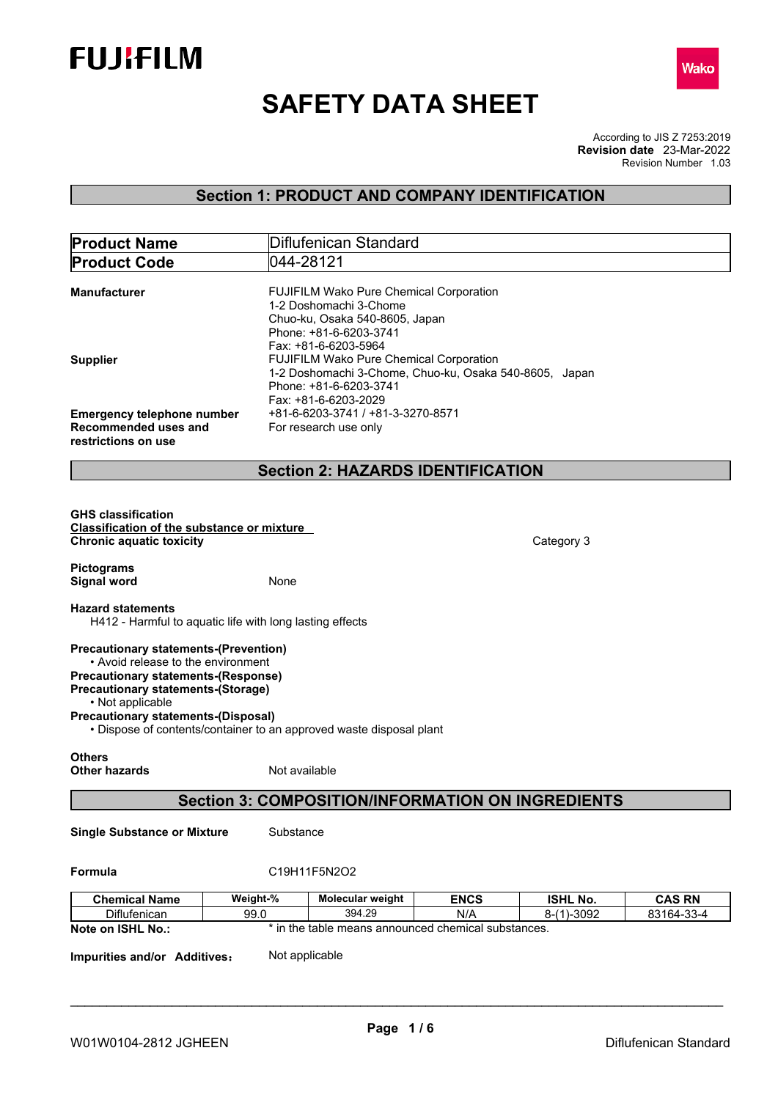



# **SAFETY DATA SHEET**

According to JIS Z 7253:2019 Revision Number 1.03 **Revision date** 23-Mar-2022

## **Section 1: PRODUCT AND COMPANY IDENTIFICATION**

| <b>Product Name</b>                                                                                                              | Diflufenican Standard                                                                                                                                                                            |
|----------------------------------------------------------------------------------------------------------------------------------|--------------------------------------------------------------------------------------------------------------------------------------------------------------------------------------------------|
| <b>Product Code</b>                                                                                                              | 044-28121                                                                                                                                                                                        |
| <b>Manufacturer</b><br><b>Supplier</b>                                                                                           | FUJIFILM Wako Pure Chemical Corporation<br>1-2 Doshomachi 3-Chome<br>Chuo-ku, Osaka 540-8605, Japan<br>Phone: +81-6-6203-3741<br>Fax: +81-6-6203-5964<br>FUJIFILM Wako Pure Chemical Corporation |
| <b>Emergency telephone number</b><br>Recommended uses and<br>restrictions on use                                                 | 1-2 Doshomachi 3-Chome, Chuo-ku, Osaka 540-8605, Japan<br>Phone: +81-6-6203-3741<br>Fax: +81-6-6203-2029<br>+81-6-6203-3741 / +81-3-3270-8571<br>For research use only                           |
|                                                                                                                                  | <b>Section 2: HAZARDS IDENTIFICATION</b>                                                                                                                                                         |
|                                                                                                                                  |                                                                                                                                                                                                  |
| <b>GHS classification</b><br><b>Classification of the substance or mixture</b><br><b>Chronic aquatic toxicity</b>                | Category 3                                                                                                                                                                                       |
| <b>Pictograms</b><br><b>Signal word</b>                                                                                          | None                                                                                                                                                                                             |
| <b>Hazard statements</b>                                                                                                         | H412 - Harmful to aquatic life with long lasting effects                                                                                                                                         |
| <b>Precautionary statements-(Prevention)</b><br>• Avoid release to the environment<br><b>Precautionary statements-(Response)</b> |                                                                                                                                                                                                  |
| <b>Precautionary statements-(Storage)</b><br>• Not applicable<br><b>Precautionary statements-(Disposal)</b>                      | • Dispose of contents/container to an approved waste disposal plant                                                                                                                              |
| <b>Others</b><br><b>Other hazards</b>                                                                                            | Not available                                                                                                                                                                                    |
|                                                                                                                                  | <b>Section 3: COMPOSITION/INFORMATION ON INGREDIENTS</b>                                                                                                                                         |
| <b>Single Substance or Mixture</b>                                                                                               | Substance                                                                                                                                                                                        |
| Formula                                                                                                                          | C19H11F5N2O2                                                                                                                                                                                     |
| <b>Chemical Name</b><br>Diflufenican                                                                                             | Weight-%<br>Molecular weight<br><b>ENCS</b><br><b>ISHL No.</b><br><b>CAS RN</b><br>394.29<br>N/A<br>99.0<br>$8-(1)-3092$<br>83164-33-4                                                           |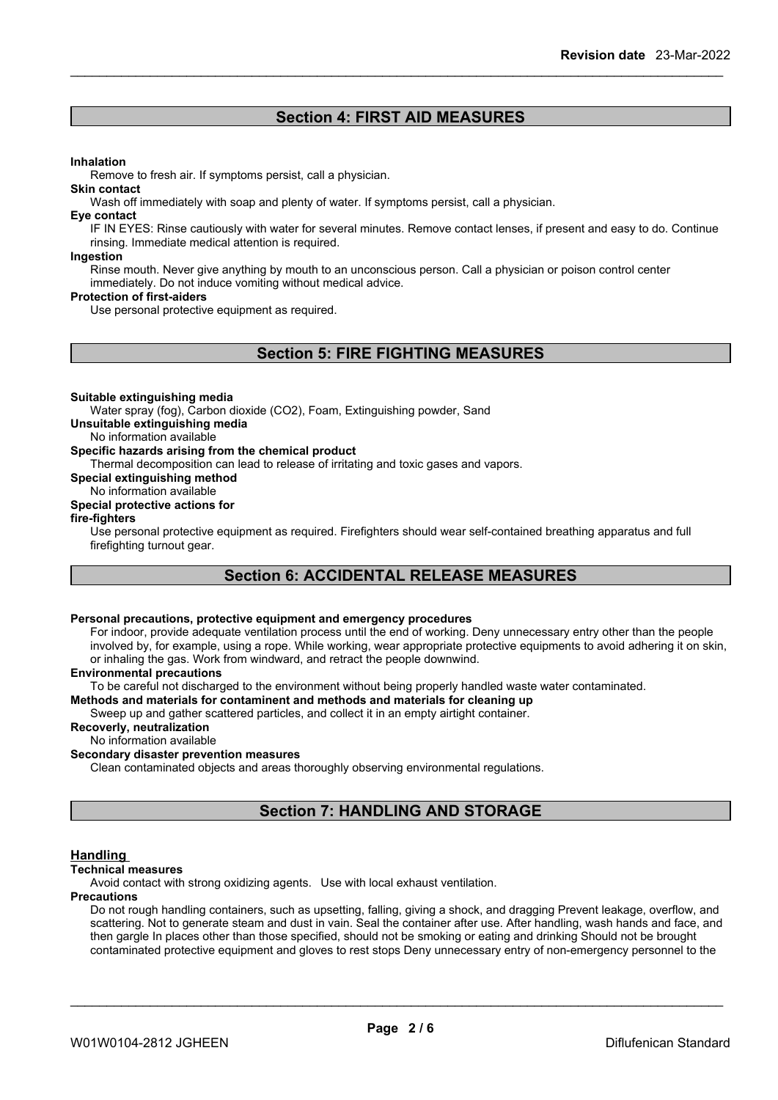### **Section 4: FIRST AID MEASURES**

#### **Inhalation**

Remove to fresh air. If symptoms persist, call a physician.

#### **Skin contact**

Wash off immediately with soap and plenty of water. If symptoms persist, call a physician.

#### **Eye contact**

IF IN EYES: Rinse cautiously with water for several minutes. Remove contact lenses, if present and easy to do. Continue rinsing. Immediate medical attention is required.

#### **Ingestion**

Rinse mouth. Never give anything by mouth to an unconscious person. Call a physician or poison control center immediately. Do not induce vomiting without medical advice.

#### **Protection of first-aiders**

Use personal protective equipment as required.

### **Section 5: FIRE FIGHTING MEASURES**

#### **Suitable extinguishing media**

Water spray (fog), Carbon dioxide (CO2), Foam, Extinguishing powder, Sand

#### **Unsuitable extinguishing media**

No information available

#### **Specific hazards arising from the chemical product**

Thermal decomposition can lead to release of irritating and toxic gases and vapors.

**Special extinguishing method**

### No information available

#### **Special protective actions for**

#### **fire-fighters**

Use personal protective equipment as required.Firefighters should wear self-contained breathing apparatus and full firefighting turnout gear.

### **Section 6: ACCIDENTAL RELEASE MEASURES**

#### **Personal precautions, protective equipment and emergency procedures**

For indoor, provide adequate ventilation process until the end of working. Deny unnecessary entry other than the people involved by, for example, using a rope. While working, wear appropriate protective equipments to avoid adhering it on skin, or inhaling the gas. Work from windward, and retract the people downwind.

#### **Environmental precautions**

To be careful not discharged to the environment without being properly handled waste water contaminated.

**Methods and materials for contaminent and methods and materials for cleaning up**

Sweep up and gather scattered particles, and collect it in an empty airtight container.

#### **Recoverly, neutralization**

No information available

#### **Secondary disaster prevention measures**

Clean contaminated objects and areas thoroughly observing environmental regulations.

### **Section 7: HANDLING AND STORAGE**

#### **Handling**

#### **Technical measures**

Avoid contact with strong oxidizing agents. Use with local exhaust ventilation.

#### **Precautions**

Do not rough handling containers, such as upsetting, falling, giving a shock, and dragging Prevent leakage, overflow, and scattering. Not to generate steam and dust in vain. Seal the container after use. After handling, wash hands and face, and then gargle In places other than those specified, should not be smoking or eating and drinking Should not be brought contaminated protective equipment and gloves to rest stops Deny unnecessary entry of non-emergency personnel to the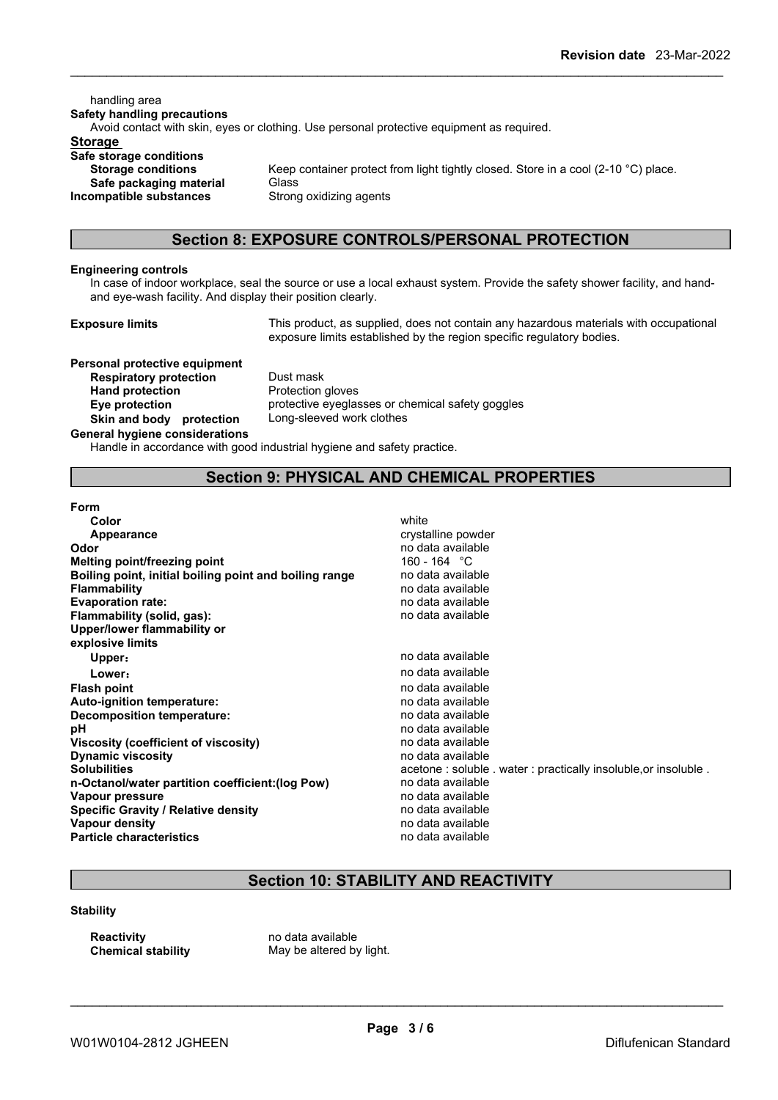handling area **Safety handling precautions** Avoid contact with skin, eyes or clothing. Use personal protective equipment as required.**Storage Safe storage conditions Storage conditions** Keep container protect from light tightly closed. Store in a cool (2-10 °C) place. **Safe packaging material** Glass **Incompatible substances** Strong oxidizing agents

### **Section 8: EXPOSURE CONTROLS/PERSONAL PROTECTION**

#### **Engineering controls**

In case of indoorworkplace, seal the source or use a local exhaust system. Provide the safety shower facility, and hand and eye-wash facility. And display their position clearly.

**Exposure limits** This product, as supplied, does not contain any hazardous materials with occupational exposure limits established by the region specific regulatory bodies.

**Personal protective equipment**<br>**Respiratory protection** Dust mask **Respiratory** protection **Hand protection** Protection gloves **Skin** and body protection **General hygiene considerations**

**Eye protection** protective eyeglasses or chemical safety goggles<br> **Skin and body protection** Long-sleeved work clothes

Handle in accordance with good industrial hygiene and safety practice.

### **Section 9: PHYSICAL AND CHEMICAL PROPERTIES**

| Form                                                   |                                                                |
|--------------------------------------------------------|----------------------------------------------------------------|
| Color                                                  | white                                                          |
| Appearance                                             | crystalline powder                                             |
| Odor                                                   | no data available                                              |
| Melting point/freezing point                           | 160 - 164 °C                                                   |
| Boiling point, initial boiling point and boiling range | no data available                                              |
| <b>Flammability</b>                                    | no data available                                              |
| <b>Evaporation rate:</b>                               | no data available                                              |
| Flammability (solid, gas):                             | no data available                                              |
| Upper/lower flammability or                            |                                                                |
| explosive limits                                       |                                                                |
| Upper:                                                 | no data available                                              |
| Lower:                                                 | no data available                                              |
| <b>Flash point</b>                                     | no data available                                              |
| Auto-ignition temperature:                             | no data available                                              |
| Decomposition temperature:                             | no data available                                              |
| рH                                                     | no data available                                              |
| Viscosity (coefficient of viscosity)                   | no data available                                              |
| <b>Dynamic viscosity</b>                               | no data available                                              |
| <b>Solubilities</b>                                    | acetone: soluble . water: practically insoluble, or insoluble. |
| n-Octanol/water partition coefficient: (log Pow)       | no data available                                              |
| Vapour pressure                                        | no data available                                              |
| <b>Specific Gravity / Relative density</b>             | no data available                                              |
| Vapour density                                         | no data available                                              |
| <b>Particle characteristics</b>                        | no data available                                              |
|                                                        |                                                                |

### **Section 10: STABILITY AND REACTIVITY**

#### **Stability**

**Reactivity** no data available<br> **Chemical stability** May be altered by

May be altered by light.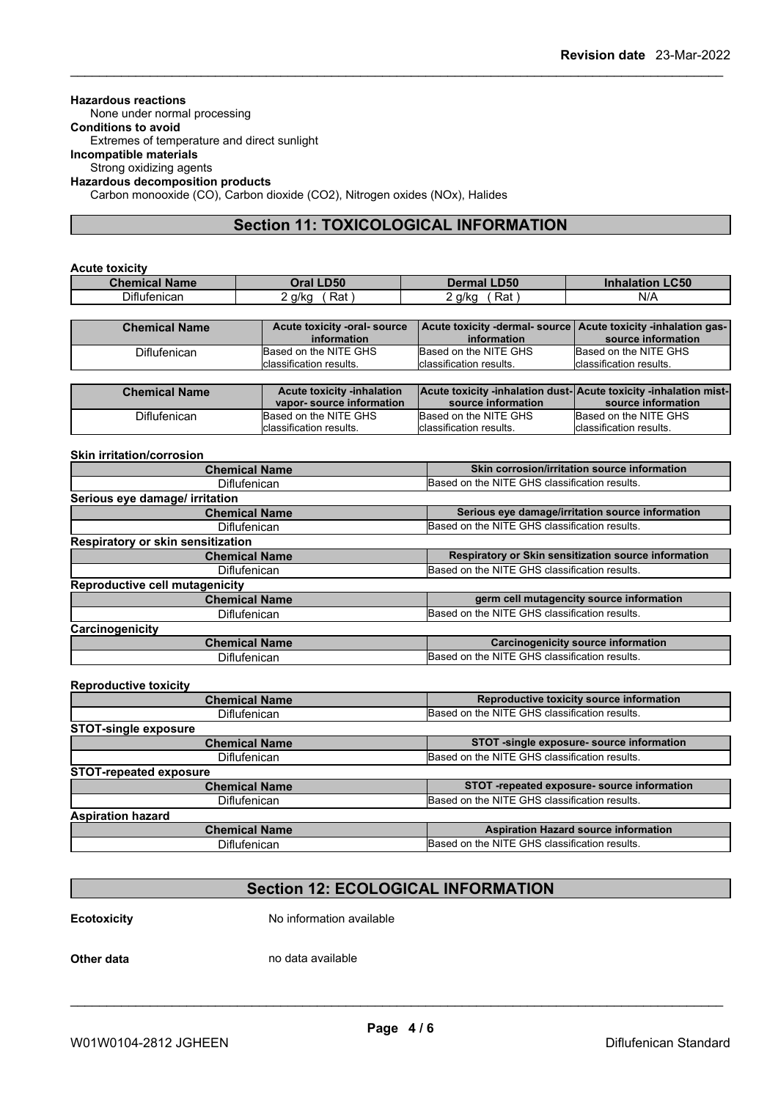### **Hazardous reactions**

None under normal processing

**Conditions to avoid** Extremes of temperature and direct sunlight

**Incompatible materials**

Strong oxidizing agents

### **Hazardous decomposition products**

Carbon monooxide (CO), Carbon dioxide (CO2), Nitrogen oxides (NOx), Halides

### **Section 11: TOXICOLOGICAL INFORMATION**

#### **Acute toxicity**

| <b>Name</b><br><b>Chemical</b><br>. | <b>D50</b><br>Tra | <b>LD50</b>        | C50<br>ınnaıa<br>πιοη |
|-------------------------------------|-------------------|--------------------|-----------------------|
| Diflufenican                        | Rat<br>a/ka       | g/kg<br>∺at<br>. . | $N$ //                |

| <b>Chemical Name</b> | Acute toxicity -oral-source | Acute toxicity -dermal- source   Acute toxicity -inhalation gas- |                          |
|----------------------|-----------------------------|------------------------------------------------------------------|--------------------------|
|                      | information                 | information                                                      | source information       |
| Diflufenican         | Based on the NITE GHS       | Based on the NITE GHS                                            | Based on the NITE GHS    |
|                      | Iclassification results.    | Iclassification results.                                         | Iclassification results. |

| <b>Chemical Name</b> | <b>Acute toxicity -inhalation</b> |                         | Acute toxicity -inhalation dust-Acute toxicity -inhalation mist- |
|----------------------|-----------------------------------|-------------------------|------------------------------------------------------------------|
|                      | vapor-source information          | source information      | source information                                               |
| Diflufenican         | Based on the NITE GHS             | Based on the NITE GHS   | Based on the NITE GHS                                            |
|                      | Iclassification results.          | classification results. | Iclassification results.                                         |

#### **Skin irritation/corrosion**

| <b>Chemical Name</b>                  | Skin corrosion/irritation source information         |
|---------------------------------------|------------------------------------------------------|
| Diflufenican                          | Based on the NITE GHS classification results.        |
| Serious eye damage/ irritation        |                                                      |
| <b>Chemical Name</b>                  | Serious eye damage/irritation source information     |
| Diflufenican                          | Based on the NITE GHS classification results.        |
| Respiratory or skin sensitization     |                                                      |
| <b>Chemical Name</b>                  | Respiratory or Skin sensitization source information |
| Diflufenican                          | Based on the NITE GHS classification results.        |
| <b>Reproductive cell mutagenicity</b> |                                                      |
| <b>Chemical Name</b>                  | germ cell mutagencity source information             |
| <b>Diflufenican</b>                   | Based on the NITE GHS classification results.        |
| Carcinogenicity                       |                                                      |
| <b>Chemical Name</b>                  | <b>Carcinogenicity source information</b>            |
| Diflufenican                          | Based on the NITE GHS classification results.        |

#### **Reproductive toxicity**

| <b>Chemical Name</b>          | Reproductive toxicity source information      |
|-------------------------------|-----------------------------------------------|
| <b>Diflufenican</b>           | Based on the NITE GHS classification results. |
| <b>STOT-single exposure</b>   |                                               |
| <b>Chemical Name</b>          | STOT -single exposure- source information     |
| <b>Diflufenican</b>           | Based on the NITE GHS classification results. |
| <b>STOT-repeated exposure</b> |                                               |
| <b>Chemical Name</b>          | STOT -repeated exposure- source information   |
| <b>Diflufenican</b>           | Based on the NITE GHS classification results. |
| <b>Aspiration hazard</b>      |                                               |
| <b>Chemical Name</b>          | <b>Aspiration Hazard source information</b>   |
| <b>Diflufenican</b>           | Based on the NITE GHS classification results. |
|                               |                                               |

### **Section 12: ECOLOGICAL INFORMATION**

**Ecotoxicity** No information available

**Other data** no data available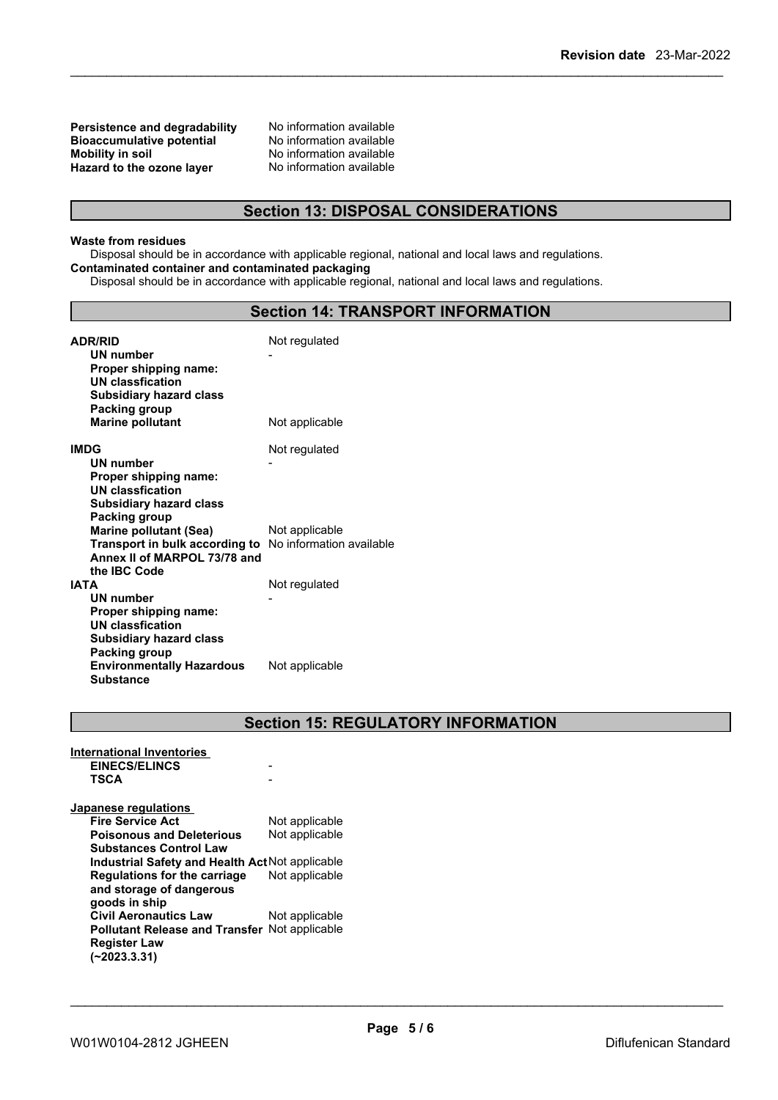**Persistence and degradability** No information available<br>**Bioaccumulative potential** No information available **Bioaccumulative potential<br>Mobility in soil Hazard** to the ozone layer

No information available<br>No information available

### **Section 13: DISPOSAL CONSIDERATIONS**

#### **Waste from residues**

Disposal should be in accordance with applicable regional, national and local laws and regulations. **Contaminated container and contaminated packaging**

Disposal should be in accordance with applicable regional, national and local laws and regulations.

### **Section 14: TRANSPORT INFORMATION**

| <b>ADR/RID</b><br>UN number<br>Proper shipping name:<br>UN classfication<br><b>Subsidiary hazard class</b> | Not regulated            |
|------------------------------------------------------------------------------------------------------------|--------------------------|
| Packing group                                                                                              |                          |
| <b>Marine pollutant</b>                                                                                    | Not applicable           |
| <b>IMDG</b>                                                                                                | Not regulated            |
| UN number                                                                                                  |                          |
| Proper shipping name:                                                                                      |                          |
| <b>UN classfication</b><br><b>Subsidiary hazard class</b>                                                  |                          |
| Packing group                                                                                              |                          |
| <b>Marine pollutant (Sea)</b>                                                                              | Not applicable           |
| Transport in bulk according to                                                                             | No information available |
| Annex II of MARPOL 73/78 and                                                                               |                          |
| the IBC Code<br><b>IATA</b>                                                                                | Not regulated            |
| <b>UN number</b>                                                                                           |                          |
| Proper shipping name:                                                                                      |                          |
| <b>UN classfication</b>                                                                                    |                          |
| <b>Subsidiary hazard class</b>                                                                             |                          |
| Packing group                                                                                              |                          |
| <b>Environmentally Hazardous</b><br><b>Substance</b>                                                       | Not applicable           |

### **Section 15: REGULATORY INFORMATION**

| <b>International Inventories</b>                     |                |
|------------------------------------------------------|----------------|
| <b>EINECS/ELINCS</b>                                 |                |
| <b>TSCA</b>                                          |                |
| Japanese regulations                                 |                |
| <b>Fire Service Act</b>                              | Not applicable |
| <b>Poisonous and Deleterious</b>                     | Not applicable |
| <b>Substances Control Law</b>                        |                |
| Industrial Safety and Health Act Not applicable      |                |
| Regulations for the carriage                         | Not applicable |
| and storage of dangerous                             |                |
| goods in ship                                        |                |
| <b>Civil Aeronautics Law</b>                         | Not applicable |
| <b>Pollutant Release and Transfer Not applicable</b> |                |
| <b>Register Law</b>                                  |                |
| (~2023.3.31)                                         |                |